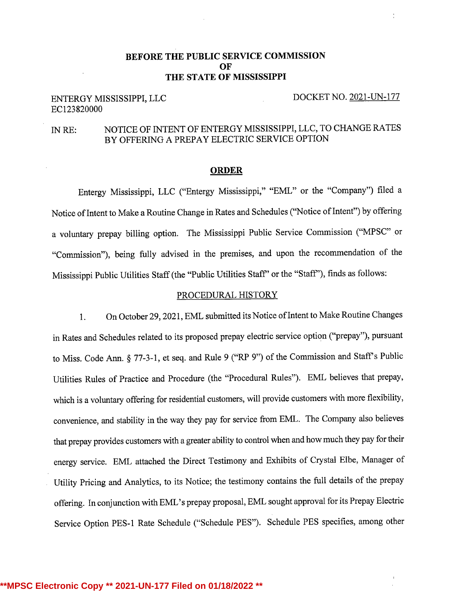## BEFORE THE PUBLIC SERVICE COMMISSION OF THE STATE OF MISSISSIPPI

## ENTERGY MISSISSIPPI, LLC DOCKET NO. 2021-UN-177 ECl23820000

# IN RE: NOTICE OF INTENT OF ENTERGY MISSISSIPPI, LLC, TO CHANGE RATES BY OFFERINGA PREPAY ELECTRIC SERVICE OPTION

#### ORDER

Entergy Mississippi, LLC ("Entergy Mississippi," "EML" or the "Company") filed <sup>a</sup> Notice of Intent to Make a Routine Change in Rates and Schedules ("Notice of Intent") by offering a voluntary prepay billing option. The Mississippi Public Service Commission ("MPSC" or "Commission"), being fully advised in the premises, and upon the recommendation of the Mississippi Public Utilities Staff (the "Public Utilities Staff" or the "Staff"), finds as follows:

#### PROCEDURAL HISTORY

l. On October 29, 2021, EML submitted its Notice of Intent to Make Routine Changes in Rates and Schedules related to its proposed prepay electric service option ("prepay"), pursuant to Miss. Code Ann. § 77-3-1, et seq. and Rule <sup>9</sup> ("RP 9") of the Commission and Staff <sup>s</sup> Public Utilities Rules of Practice and Procedure (the "Procedural Rules"). EML believes that prepay, which is a voluntary offering for residential customers, will provide customers with more flexibility, convenience, and stability in the way they pay for service from EML. The Company also believes that prepay provides customers with <sup>a</sup> greater ability to control when and how much they pay for their energy service. EML attached the Direct Testimony and Exhibits of Crystal Elbe, Manager of Utility Pricing and Analytics, to its Notice; the testimony contains the full details of the prepay offering. In conjunctionwith EML's prepay proposal, EML sought approval for its Prepay Electric Service Option PES-1 Rate Schedule ("Schedule PES"). Schedule PES specifies, among other

#### **\*\*MPSC Electronic Copy \*\* 2021-UN-177 Filed on 01/18/2022 \*\***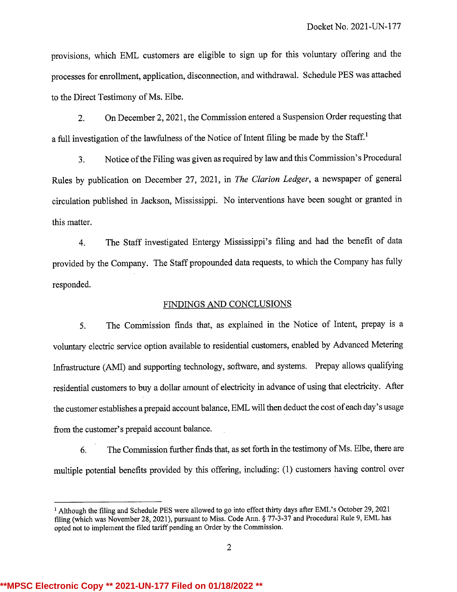provisions, which EML customers are eligible to sign up for this voluntary offering and the processes for enrollment, application, disconnection,and withdrawal. Schedule PES was attached to the Direct Testimony of Ms. Elbe.

2. On December 2, 2021, the Commission entered a Suspension Order requesting that <sup>a</sup> full investigation of the lawfulness of the Notice of Intent filing be made by the Staff.'

3. Notice of the Filing was given as required by law and this Commission's Procedural Rules by publication on December 27, 2021, in The Clarion Ledger, <sup>a</sup> newspaper of general circulation published in Jackson, Mississippi. No interventions have been sought or granted in this matter.

4. The Staff investigated Entergy Mississippi's filing and had the benefit of data provided by the Company. The Staff propounded data requests, to which the Company has fully responded.

### FINDINGS AND CONCLUSIONS

5. The Commission finds that, as explained in the Notice of Intent, prepay is <sup>a</sup> voluntary electric service option available to residential customers, enabled by Advanced Metering Infrastructure (AMI) and supporting technology, software, and systems. Prepay allows qualifying residential customers to buy <sup>a</sup> dollar amount of electricity in advance of using that electricity. After the customer establishes a prepaid account balance, EML will then deduct the cost of each day's usage from the customer's prepaid account balance.

6. The Commission further finds that, as set forth in the testimony of Ms. Elbe, there are multiple potential benefits provided by this offering, including: (1) customers having control over

<sup>i</sup> Although the filing and Schedule PES were allowed to go into effect thirty days after EML's October 29, <sup>2021</sup> filing (which was November28, 2021), pursuant to Miss. Code Ann. § 77-3-37 and Procedural Rule 9, EML has opted not to implement the filed tariff pending an Order by the Commission.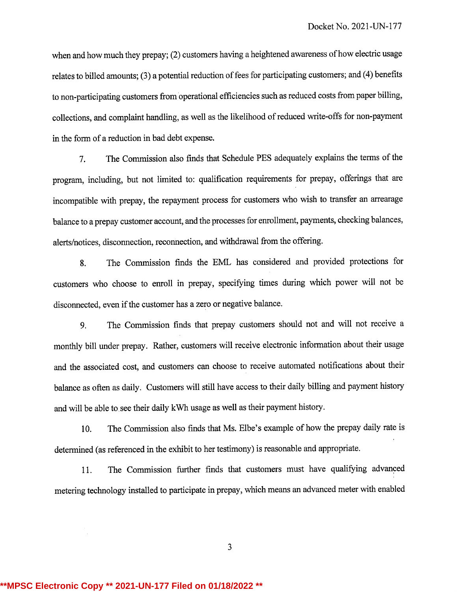when and how much they prepay; (2) customers having <sup>a</sup> heightened awareness of how electric usage relates to billed amounts; (3) <sup>a</sup> potential reduction of fees for participating customers; and (4) benefits to non-participating customers from operational efficiencies such as reduced costs from paper billing, collections, and complaint handling, as well as the likelihood of reduced write-offs for non-payment in the form of <sup>a</sup> reduction in bad debt expense.

7. The Commission also finds that Schedule PES adequately explains the terms of the program, including, but not limited to: qualification requirements for prepay, offerings that are incompatible with prepay, the repayment process for customers who wish to transfer an arrearage balance to a prepay customer account, and the processes for enrollment, payments, checking balances, alerts/notices, disconnection, reconnection, and withdrawal from the offering.

8. The Commission finds the EML has considered and provided protections for customers who choose to enroll in prepay, specifying times during which power will not be disconnected, even if the customer has <sup>a</sup> zero or negative balance.

9. The Commission finds that prepay customers should not and will not receive <sup>a</sup> monthly bill under prepay. Rather, customers will receive electronic information about their usage and the associated cost, and customers can choose to receive automated notifications about their balance as often as daily. Customers will still have access to their daily billing and payment history and will be able to.see their daily kWh usage as well as their payment history.

10. The Commission also finds that Ms. Elbe's example of how the prepay daily rate is determined (as referenced in the exhibit to her testimony) is reasonable and appropriate.

11. The Commission further finds that customers must have qualifying advanced metering technology installed to participate in prepay, which means an advanced meter with enabled

3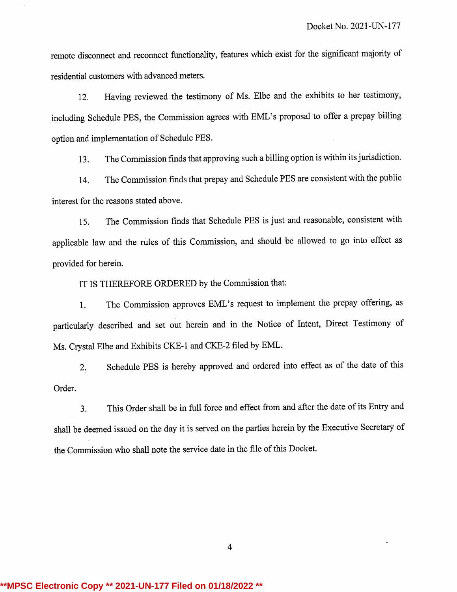remote disconnect and reconnect functionality, features which exist for the significant majority of residential customers with advanced meters.

12. Having reviewed the testimony of Ms. Elbe and the exhibits to her testimony, including Schedule PES, the Commission agrees with EML's proposal to offer <sup>a</sup> prepay billing option and implementation of Schedule PES.

13. The Commission finds that approving such <sup>a</sup> billingoption is within its jurisdiction.

14. The Commission finds that prepay and Schedule PES are consistent with the public interest for the reasons stated above.

15. The Commission finds that Schedule PES is just and reasonable, consistent with applicable law and the rules of this Commission, and should be allowed to go into effect as provided for herein.

IT IS THEREFORE ORDERED by the Commission that:

1. The Commission approves EML's request to implement the prepay offering, as particularly described and set out herein and in the Notice of Intent, Direct Testimony of Ms. Crystal Elbe and Exhibits CKE-1 and CKE-2 filed by EML.

2. Schedule PES is hereby approved and ordered into effect as of the date of this Order.

3. This Order shall be in full force and effect from and after the date of its Entryand shall be deemed issued on the day it is served on the parties herein by the Executive Secretary of the Commission who shall note the service date in the file of this Docket.

4